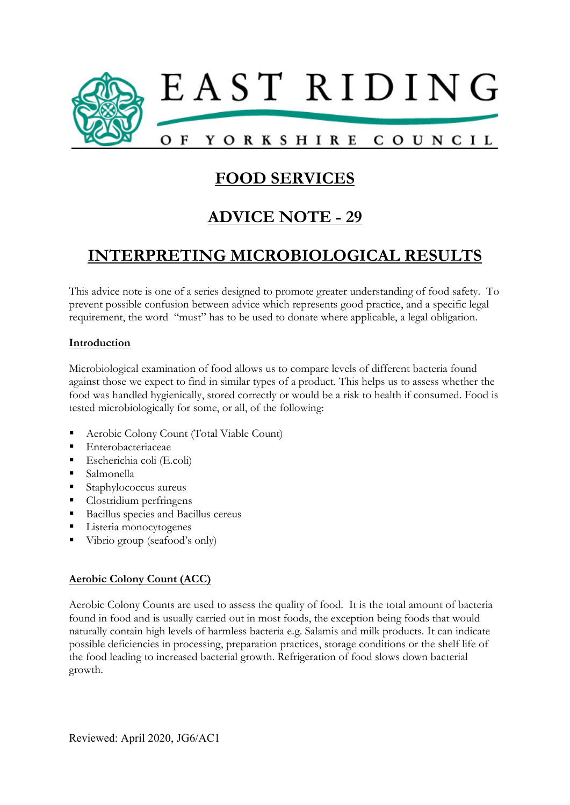

# FOOD SERVICES

# ADVICE NOTE - 29

# INTERPRETING MICROBIOLOGICAL RESULTS

This advice note is one of a series designed to promote greater understanding of food safety. To prevent possible confusion between advice which represents good practice, and a specific legal requirement, the word "must" has to be used to donate where applicable, a legal obligation.

### Introduction

Microbiological examination of food allows us to compare levels of different bacteria found against those we expect to find in similar types of a product. This helps us to assess whether the food was handled hygienically, stored correctly or would be a risk to health if consumed. Food is tested microbiologically for some, or all, of the following:

- Aerobic Colony Count (Total Viable Count)
- **Enterobacteriaceae**
- Escherichia coli (E.coli)
- Salmonella
- Staphylococcus aureus
- Clostridium perfringens
- **Bacillus species and Bacillus cereus**
- **Listeria** monocytogenes
- Vibrio group (seafood's only)

## Aerobic Colony Count (ACC)

Aerobic Colony Counts are used to assess the quality of food. It is the total amount of bacteria found in food and is usually carried out in most foods, the exception being foods that would naturally contain high levels of harmless bacteria e.g. Salamis and milk products. It can indicate possible deficiencies in processing, preparation practices, storage conditions or the shelf life of the food leading to increased bacterial growth. Refrigeration of food slows down bacterial growth.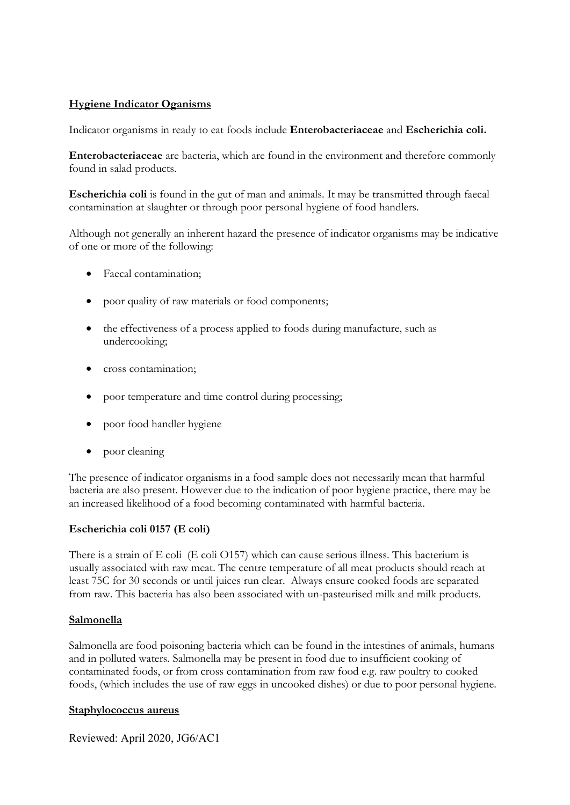## Hygiene Indicator Oganisms

Indicator organisms in ready to eat foods include Enterobacteriaceae and Escherichia coli.

Enterobacteriaceae are bacteria, which are found in the environment and therefore commonly found in salad products.

Escherichia coli is found in the gut of man and animals. It may be transmitted through faecal contamination at slaughter or through poor personal hygiene of food handlers.

Although not generally an inherent hazard the presence of indicator organisms may be indicative of one or more of the following:

- Faecal contamination;
- poor quality of raw materials or food components;
- the effectiveness of a process applied to foods during manufacture, such as undercooking;
- cross contamination;
- poor temperature and time control during processing;
- poor food handler hygiene
- poor cleaning

The presence of indicator organisms in a food sample does not necessarily mean that harmful bacteria are also present. However due to the indication of poor hygiene practice, there may be an increased likelihood of a food becoming contaminated with harmful bacteria.

#### Escherichia coli 0157 (E coli)

There is a strain of E coli (E coli O157) which can cause serious illness. This bacterium is usually associated with raw meat. The centre temperature of all meat products should reach at least 75C for 30 seconds or until juices run clear. Always ensure cooked foods are separated from raw. This bacteria has also been associated with un-pasteurised milk and milk products.

#### Salmonella

Salmonella are food poisoning bacteria which can be found in the intestines of animals, humans and in polluted waters. Salmonella may be present in food due to insufficient cooking of contaminated foods, or from cross contamination from raw food e.g. raw poultry to cooked foods, (which includes the use of raw eggs in uncooked dishes) or due to poor personal hygiene.

#### Staphylococcus aureus

Reviewed: April 2020, JG6/AC1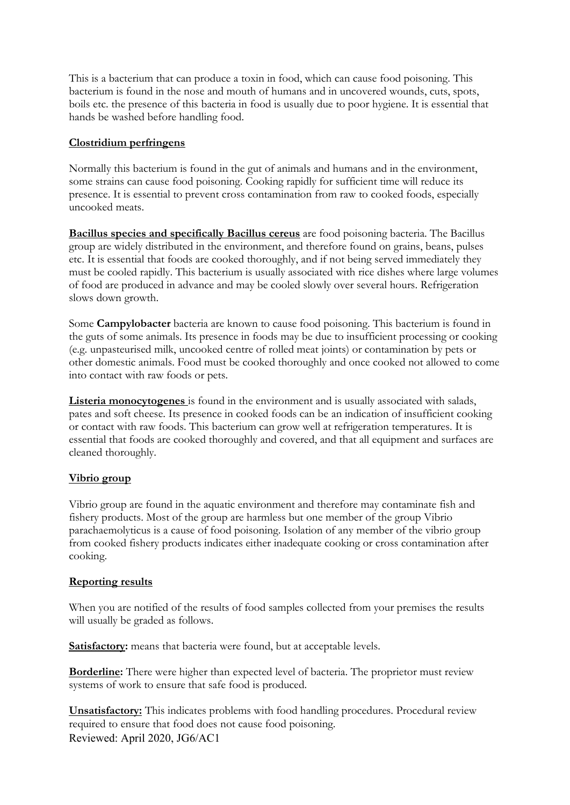This is a bacterium that can produce a toxin in food, which can cause food poisoning. This bacterium is found in the nose and mouth of humans and in uncovered wounds, cuts, spots, boils etc. the presence of this bacteria in food is usually due to poor hygiene. It is essential that hands be washed before handling food.

### Clostridium perfringens

Normally this bacterium is found in the gut of animals and humans and in the environment, some strains can cause food poisoning. Cooking rapidly for sufficient time will reduce its presence. It is essential to prevent cross contamination from raw to cooked foods, especially uncooked meats.

Bacillus species and specifically Bacillus cereus are food poisoning bacteria. The Bacillus group are widely distributed in the environment, and therefore found on grains, beans, pulses etc. It is essential that foods are cooked thoroughly, and if not being served immediately they must be cooled rapidly. This bacterium is usually associated with rice dishes where large volumes of food are produced in advance and may be cooled slowly over several hours. Refrigeration slows down growth.

Some Campylobacter bacteria are known to cause food poisoning. This bacterium is found in the guts of some animals. Its presence in foods may be due to insufficient processing or cooking (e.g. unpasteurised milk, uncooked centre of rolled meat joints) or contamination by pets or other domestic animals. Food must be cooked thoroughly and once cooked not allowed to come into contact with raw foods or pets.

Listeria monocytogenes is found in the environment and is usually associated with salads, pates and soft cheese. Its presence in cooked foods can be an indication of insufficient cooking or contact with raw foods. This bacterium can grow well at refrigeration temperatures. It is essential that foods are cooked thoroughly and covered, and that all equipment and surfaces are cleaned thoroughly.

## Vibrio group

Vibrio group are found in the aquatic environment and therefore may contaminate fish and fishery products. Most of the group are harmless but one member of the group Vibrio parachaemolyticus is a cause of food poisoning. Isolation of any member of the vibrio group from cooked fishery products indicates either inadequate cooking or cross contamination after cooking.

## Reporting results

When you are notified of the results of food samples collected from your premises the results will usually be graded as follows.

Satisfactory: means that bacteria were found, but at acceptable levels.

Borderline: There were higher than expected level of bacteria. The proprietor must review systems of work to ensure that safe food is produced.

Reviewed: April 2020, JG6/AC1 Unsatisfactory: This indicates problems with food handling procedures. Procedural review required to ensure that food does not cause food poisoning.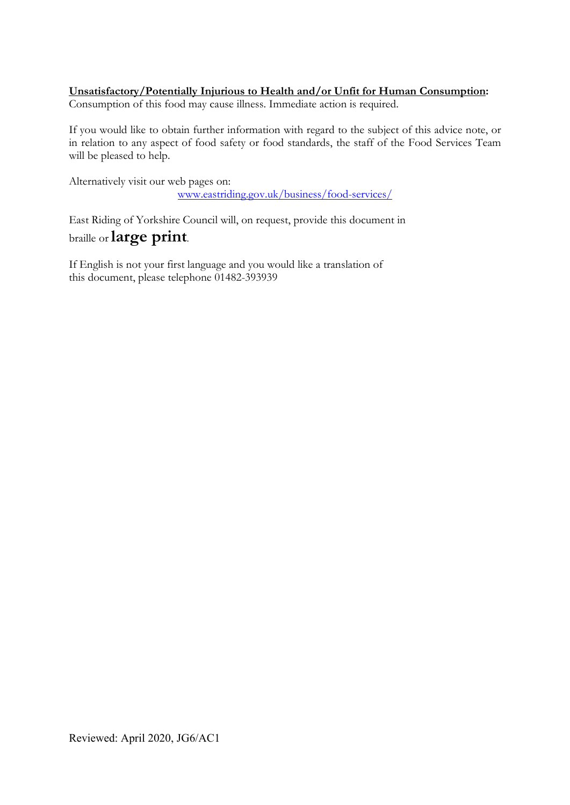# Unsatisfactory/Potentially Injurious to Health and/or Unfit for Human Consumption:

Consumption of this food may cause illness. Immediate action is required.

If you would like to obtain further information with regard to the subject of this advice note, or in relation to any aspect of food safety or food standards, the staff of the Food Services Team will be pleased to help.

Alternatively visit our web pages on: www.eastriding.gov.uk/business/food-services/

East Riding of Yorkshire Council will, on request, provide this document in braille or large print.

If English is not your first language and you would like a translation of this document, please telephone 01482-393939